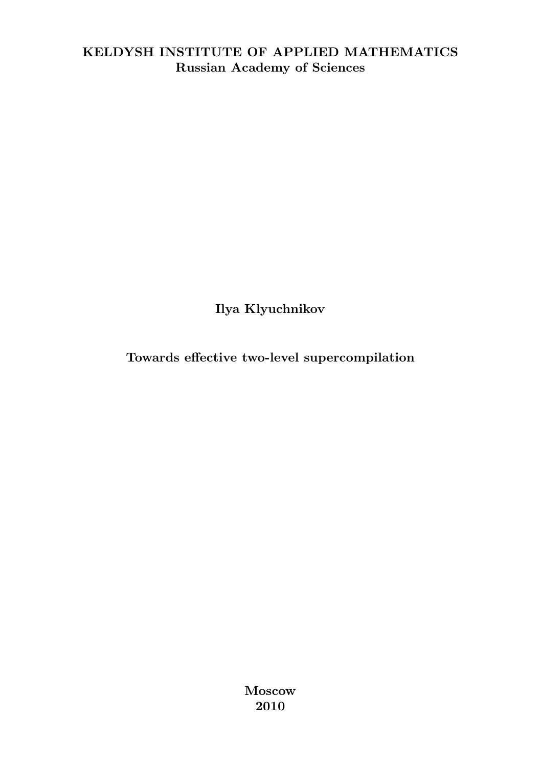### <span id="page-0-0"></span>KELDYSH INSTITUTE OF APPLIED MATHEMATICS Russian Academy of Sciences

Ilya Klyuchnikov

Towards effective two-level supercompilation

Moscow 2010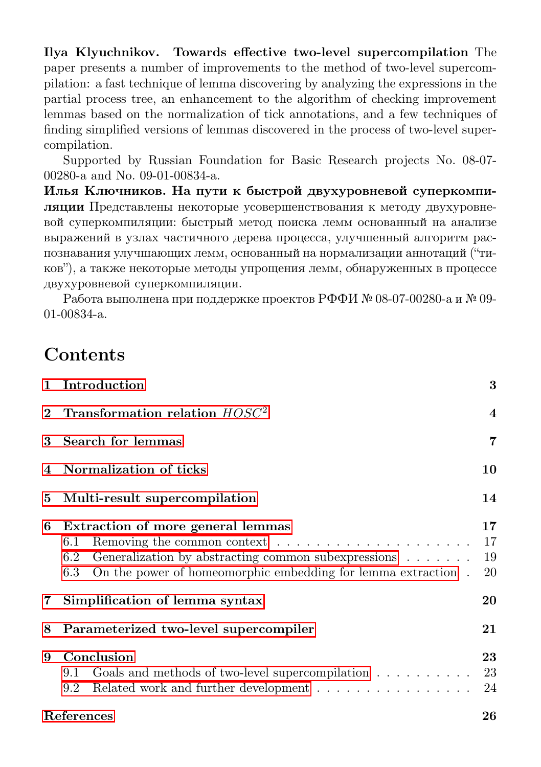Ilya Klyuchnikov. Towards effective two-level supercompilation The paper presents a number of improvements to the method of two-level supercompilation: a fast technique of lemma discovering by analyzing the expressions in the partial process tree, an enhancement to the algorithm of checking improvement lemmas based on the normalization of tick annotations, and a few techniques of finding simplified versions of lemmas discovered in the process of two-level supercompilation.

Supported by Russian Foundation for Basic Research projects No. 08-07- 00280-a and No. 09-01-00834-a.

Илья Ключников. На пути к быстрой двухуровневой суперкомпиляции Представлены некоторые усовершенствования к методу двухуровневой суперкомпиляции: быстрый метод поиска лемм основанный на анализе выражений в узлах частичного дерева процесса, улучшенный алгоритм распознавания улучшающих лемм, основанный на нормализации аннотаций ("тиков"), а также некоторые методы упрощения лемм, обнаруженных в процессе двухуровневой суперкомпиляции.

Работа выполнена при поддержке проектов РФФИ № 08-07-00280-a и № 09- 01-00834-a.

# Contents

|   | 1 Introduction                                                                                                                                                                                | 3                       |
|---|-----------------------------------------------------------------------------------------------------------------------------------------------------------------------------------------------|-------------------------|
|   | 2 Transformation relation $HOSC2$                                                                                                                                                             | $\overline{\mathbf{4}}$ |
| 3 | Search for lemmas                                                                                                                                                                             | 7                       |
|   | 4 Normalization of ticks                                                                                                                                                                      | 10                      |
|   | 5 Multi-result supercompilation                                                                                                                                                               | 14                      |
| 6 | Extraction of more general lemmas<br>6.1<br>Generalization by abstracting common subexpressions $\ldots \ldots$<br>6.2<br>On the power of homeomorphic embedding for lemma extraction.<br>6.3 | 17<br>17<br>19<br>20    |
|   | 7 Simplification of lemma syntax                                                                                                                                                              | 20                      |
| 8 | Parameterized two-level supercompiler                                                                                                                                                         | 21                      |
| 9 | Conclusion<br>Goals and methods of two-level supercompilation $\ldots \ldots \ldots$<br>9.1<br>Related work and further development<br>9.2                                                    | 23<br>23<br>24          |
|   | References                                                                                                                                                                                    | 26                      |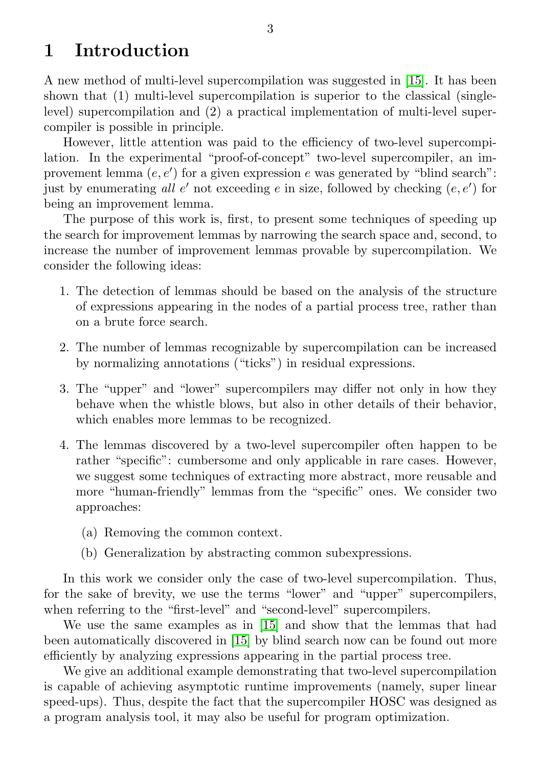# <span id="page-2-0"></span>1 Introduction

A new method of multi-level supercompilation was suggested in [\[15\]](#page-26-0). It has been shown that (1) multi-level supercompilation is superior to the classical (singlelevel) supercompilation and (2) a practical implementation of multi-level supercompiler is possible in principle.

However, little attention was paid to the efficiency of two-level supercompilation. In the experimental "proof-of-concept" two-level supercompiler, an improvement lemma  $(e, e')$  for a given expression  $e$  was generated by "blind search": just by enumerating all  $e'$  not exceeding  $e$  in size, followed by checking  $(e, e')$  for being an improvement lemma.

The purpose of this work is, first, to present some techniques of speeding up the search for improvement lemmas by narrowing the search space and, second, to increase the number of improvement lemmas provable by supercompilation. We consider the following ideas:

- 1. The detection of lemmas should be based on the analysis of the structure of expressions appearing in the nodes of a partial process tree, rather than on a brute force search.
- 2. The number of lemmas recognizable by supercompilation can be increased by normalizing annotations ("ticks") in residual expressions.
- 3. The "upper" and "lower" supercompilers may differ not only in how they behave when the whistle blows, but also in other details of their behavior, which enables more lemmas to be recognized.
- 4. The lemmas discovered by a two-level supercompiler often happen to be rather "specific": cumbersome and only applicable in rare cases. However, we suggest some techniques of extracting more abstract, more reusable and more "human-friendly" lemmas from the "specific" ones. We consider two approaches:
	- (a) Removing the common context.
	- (b) Generalization by abstracting common subexpressions.

In this work we consider only the case of two-level supercompilation. Thus, for the sake of brevity, we use the terms "lower" and "upper" supercompilers, when referring to the "first-level" and "second-level" supercompilers.

We use the same examples as in [\[15\]](#page-26-0) and show that the lemmas that had been automatically discovered in [\[15\]](#page-26-0) by blind search now can be found out more efficiently by analyzing expressions appearing in the partial process tree.

We give an additional example demonstrating that two-level supercompilation is capable of achieving asymptotic runtime improvements (namely, super linear speed-ups). Thus, despite the fact that the supercompiler HOSC was designed as a program analysis tool, it may also be useful for program optimization.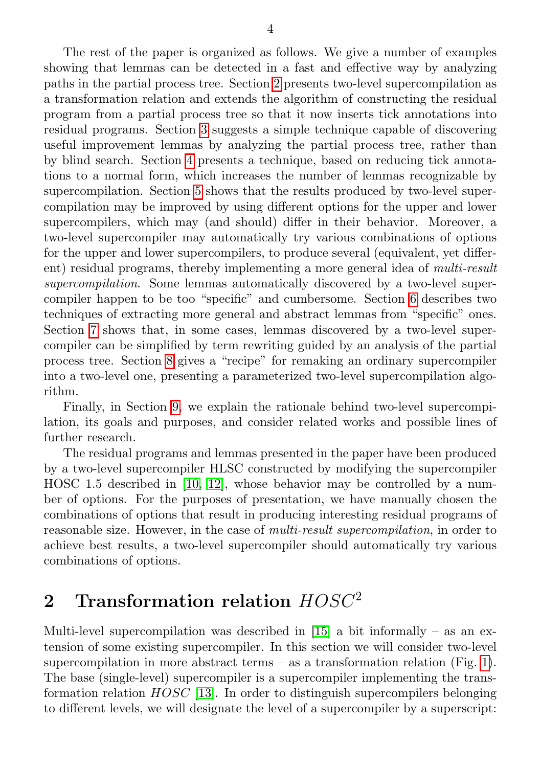The rest of the paper is organized as follows. We give a number of examples showing that lemmas can be detected in a fast and effective way by analyzing paths in the partial process tree. Section [2](#page-3-0) presents two-level supercompilation as a transformation relation and extends the algorithm of constructing the residual program from a partial process tree so that it now inserts tick annotations into residual programs. Section [3](#page-6-0) suggests a simple technique capable of discovering useful improvement lemmas by analyzing the partial process tree, rather than by blind search. Section [4](#page-9-0) presents a technique, based on reducing tick annotations to a normal form, which increases the number of lemmas recognizable by supercompilation. Section [5](#page-13-0) shows that the results produced by two-level supercompilation may be improved by using different options for the upper and lower supercompilers, which may (and should) differ in their behavior. Moreover, a two-level supercompiler may automatically try various combinations of options for the upper and lower supercompilers, to produce several (equivalent, yet different) residual programs, thereby implementing a more general idea of multi-result supercompilation. Some lemmas automatically discovered by a two-level supercompiler happen to be too "specific" and cumbersome. Section [6](#page-16-0) describes two techniques of extracting more general and abstract lemmas from "specific" ones. Section [7](#page-19-1) shows that, in some cases, lemmas discovered by a two-level supercompiler can be simplified by term rewriting guided by an analysis of the partial process tree. Section [8](#page-20-0) gives a "recipe" for remaking an ordinary supercompiler into a two-level one, presenting a parameterized two-level supercompilation algorithm.

Finally, in Section [9,](#page-22-0) we explain the rationale behind two-level supercompilation, its goals and purposes, and consider related works and possible lines of further research.

The residual programs and lemmas presented in the paper have been produced by a two-level supercompiler HLSC constructed by modifying the supercompiler HOSC 1.5 described in [\[10,](#page-26-1) [12\]](#page-26-2), whose behavior may be controlled by a number of options. For the purposes of presentation, we have manually chosen the combinations of options that result in producing interesting residual programs of reasonable size. However, in the case of multi-result supercompilation, in order to achieve best results, a two-level supercompiler should automatically try various combinations of options.

# <span id="page-3-0"></span>2 Transformation relation  $HOSC<sup>2</sup>$

Multi-level supercompilation was described in  $[15]$  a bit informally – as an extension of some existing supercompiler. In this section we will consider two-level supercompilation in more abstract terms – as a transformation relation (Fig. [1\)](#page-0-0). The base (single-level) supercompiler is a supercompiler implementing the transformation relation  $HOSC$  [\[13\]](#page-26-3). In order to distinguish supercompilers belonging to different levels, we will designate the level of a supercompiler by a superscript: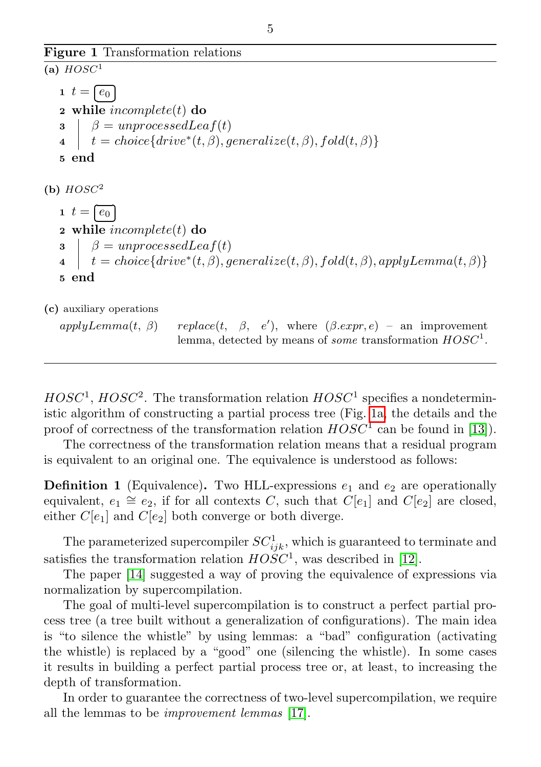Figure 1 Transformation relations

```
(a) HOSC^11 \t t = \sqrt{e_0}2 while incomplete(t) do
                 Ĭ.
   \beta = unprocessedLeaf(t)\begin{array}{ll} \textbf{4} & | & t = choice\{drive^*(t, \beta), generalize(t, \beta), fold(t, \beta)\}\end{array}5 end
(b) HOSC^21 \t t = \sqrt{e_0}2 while incomplete(t) do
                 Ĭ.
   \beta = unprocessedLeaf(t)\begin{array}{ll} \mathbf{4} & | & t = choice\{drive^*(t, \beta), generalize(t, \beta), fold(t, \beta), applyLemma(t, \beta)\}\end{array}5 end
(c) auxiliary operations
   apply Lemma(t, \beta)replace(t, \beta, e'), where (\beta. expr, e) – an improvement
                                lemma, detected by means of some transformation HOSC<sup>1</sup>.
```
 $HOSC<sup>1</sup>$ ,  $HOSC<sup>2</sup>$ . The transformation relation  $HOSC<sup>1</sup>$  specifies a nondeterministic algorithm of constructing a partial process tree (Fig. [1a,](#page-4-0) the details and the proof of correctness of the transformation relation  $HOSC^1$  can be found in [\[13\]](#page-26-3)).

The correctness of the transformation relation means that a residual program is equivalent to an original one. The equivalence is understood as follows:

**Definition 1** (Equivalence). Two HLL-expressions  $e_1$  and  $e_2$  are operationally equivalent,  $e_1 \cong e_2$ , if for all contexts C, such that  $C[e_1]$  and  $C[e_2]$  are closed, either  $C[e_1]$  and  $C[e_2]$  both converge or both diverge.

The parameterized supercompiler  $SC_{ijk}^1$ , which is guaranteed to terminate and satisfies the transformation relation  $HOSC<sup>1</sup>$ , was described in [\[12\]](#page-26-2).

The paper [\[14\]](#page-26-4) suggested a way of proving the equivalence of expressions via normalization by supercompilation.

The goal of multi-level supercompilation is to construct a perfect partial process tree (a tree built without a generalization of configurations). The main idea is "to silence the whistle" by using lemmas: a "bad" configuration (activating the whistle) is replaced by a "good" one (silencing the whistle). In some cases it results in building a perfect partial process tree or, at least, to increasing the depth of transformation.

In order to guarantee the correctness of two-level supercompilation, we require all the lemmas to be improvement lemmas [\[17\]](#page-26-5).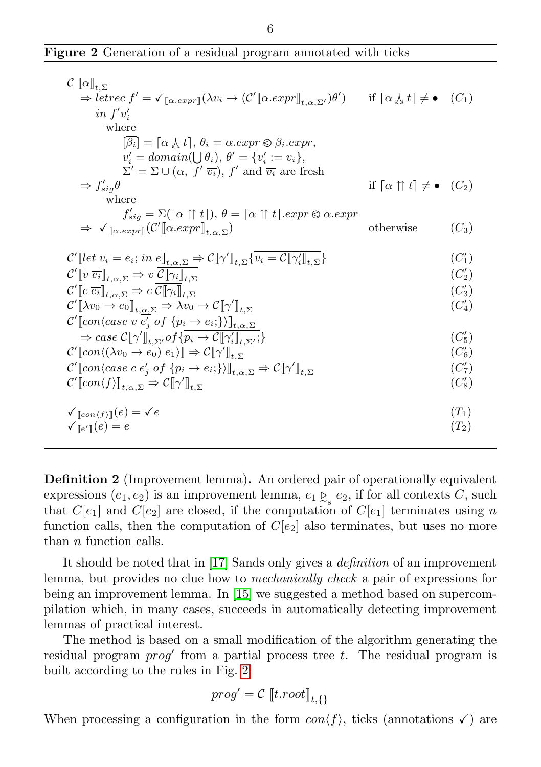|  |  | Figure 2 Generation of a residual program annotated with ticks |  |  |  |  |  |  |  |
|--|--|----------------------------------------------------------------|--|--|--|--|--|--|--|
|--|--|----------------------------------------------------------------|--|--|--|--|--|--|--|

| $\mathcal{C}[\![\alpha]\!]_{t,\Sigma}$                                                                                                                                                                          |                                                                  |            |
|-----------------------------------------------------------------------------------------------------------------------------------------------------------------------------------------------------------------|------------------------------------------------------------------|------------|
| $\Rightarrow$ letrec $f' = \sqrt{\alpha} \exp[\lambda \overline{v_i} \rightarrow (\mathcal{C}'[\alpha . expr]]_{t,\alpha,\Sigma'})\theta')$ if $\alpha \downarrow t \upharpoonright \Leftarrow \bullet$ $(C_1)$ |                                                                  |            |
| in $f' \overline{v'_i}$                                                                                                                                                                                         |                                                                  |            |
| where                                                                                                                                                                                                           |                                                                  |            |
| $[\overline{\beta_i}] = [\alpha \downarrow t], \theta_i = \alpha.\text{expr} \otimes \beta_i.\text{expr},$                                                                                                      |                                                                  |            |
| $\overline{v'_i} = domain(\cup \overline{\theta_i}), \ \theta' = \{\overline{v'_i := v_i}\},\$<br>$\Sigma' = \Sigma \cup (\alpha, f' \overline{v_i}), f'$ and $\overline{v_i}$ are fresh                        |                                                                  |            |
| $\Rightarrow f'_{sig}\theta$                                                                                                                                                                                    | if $\lceil \alpha \rceil \uparrow t \rceil \neq \bullet$ $(C_2)$ |            |
| where                                                                                                                                                                                                           |                                                                  |            |
| $f'_{sig} = \Sigma([\alpha \uparrow \uparrow t]), \theta = [\alpha \uparrow \uparrow t].expr \otimes \alpha.expr$                                                                                               |                                                                  |            |
| $\Rightarrow \sqrt{\alpha_{\text{.}expr}} (\mathcal{C}'[\alpha_{\text{.}}expr]]_{t,\alpha,\Sigma})$                                                                                                             | otherwise                                                        | $(C_3)$    |
| $\mathcal{C}'[let \overline{v_i = e_i}; in e]_{t,\alpha,\Sigma} \Rightarrow \mathcal{C}[\![\gamma']\!]_{t,\Sigma} \{v_i = \mathcal{C}[\![\gamma'_i]\!]_{t,\Sigma}\}$                                            |                                                                  | $(C'_1)$   |
|                                                                                                                                                                                                                 |                                                                  | $(C'_{2})$ |
| $\mathcal{C}'[\![v\ \overline{e_i}]\!]_{t,\alpha,\Sigma} \Rightarrow v\ \mathcal{C}[\![\gamma_i]\!]_{t,\Sigma}$                                                                                                 |                                                                  |            |
| $\mathcal{C}'[\![c\ \overline{e_i}]\!]_{t,\alpha,\Sigma} \Rightarrow c\ \mathcal{C}[\![\gamma_i]\!]_{t,\Sigma}$                                                                                                 |                                                                  | $(C_3')$   |
| $\mathcal{C}'[\![\lambda v_0 \to e_0]\!]_{t,\alpha,\Sigma} \Rightarrow \lambda v_0 \to \mathcal{C}[\![\gamma']\!]_{t,\Sigma}$                                                                                   |                                                                  | $(C_4')$   |
| $\mathcal{C}'$ [con $\langle \text{case } v \; \overline{e'_j} \; \text{of} \; \{ \overline{p_i \rightarrow e_i;} \} \rangle \rangle_{\phi}$                                                                    |                                                                  |            |
| $\Rightarrow$ case $\mathcal{C}[\![\gamma']\!]_{t,\Sigma'}$ of $\{p_i \to \mathcal{C}[\![\gamma_i']\!]_{t,\Sigma'}; \}$                                                                                         |                                                                  | $(C'_5)$   |
| $\mathcal{C}'$ [con $\langle (\lambda v_0 \to e_0) e_1 \rangle$ ] $\Rightarrow$ $\mathcal{C}[\![\gamma']\!]_{t,\Sigma}$                                                                                         |                                                                  | $(C'_{6})$ |
| $\mathcal{C}'$ [con $\langle \text{case } c e_i' \text{ of } \{ \overline{p_i \rightarrow e_i} \} \rangle$ ] <sub>t.o.<math>\Sigma \Rightarrow \mathcal{C}[\![\gamma']\!]_{t,\Sigma}</math></sub>               |                                                                  | $(C'_{7})$ |
| $\mathcal{C}'[\hspace{-0.04cm}[con\langle f\rangle]\hspace{-0.04cm}]_{t,\alpha,\Sigma}\Rightarrow\mathcal{C}[\hspace{-0.04cm}[ \gamma']\hspace{-0.04cm}]_{t,\Sigma}$                                            |                                                                  | $(C'_8)$   |
|                                                                                                                                                                                                                 |                                                                  |            |
| $\sqrt{\mathbb{E}[\cosh(f)](e)} = \sqrt{e}$                                                                                                                                                                     |                                                                  | $(T_1)$    |
| $\sqrt{\mathbf{e}^{\prime}}$ (e) = e                                                                                                                                                                            |                                                                  | $(T_2)$    |
|                                                                                                                                                                                                                 |                                                                  |            |

Definition 2 (Improvement lemma). An ordered pair of operationally equivalent expressions  $(e_1, e_2)$  is an improvement lemma,  $e_1 \underset{s}{\sim} e_2$ , if for all contexts C, such that  $C[e_1]$  and  $C[e_2]$  are closed, if the computation of  $C[e_1]$  terminates using n function calls, then the computation of  $C[\epsilon_2]$  also terminates, but uses no more than  $n$  function calls.

It should be noted that in [\[17\]](#page-26-5) Sands only gives a definition of an improvement lemma, but provides no clue how to mechanically check a pair of expressions for being an improvement lemma. In [\[15\]](#page-26-0) we suggested a method based on supercompilation which, in many cases, succeeds in automatically detecting improvement lemmas of practical interest.

The method is based on a small modification of the algorithm generating the residual program  $prog'$  from a partial process tree  $t$ . The residual program is built according to the rules in Fig. [2:](#page-0-0)

$$
prog' = \mathcal{C} \left[ t(root \right]_{t, \{\}}
$$

When processing a configuration in the form  $con(f)$ , ticks (annotations  $\checkmark$ ) are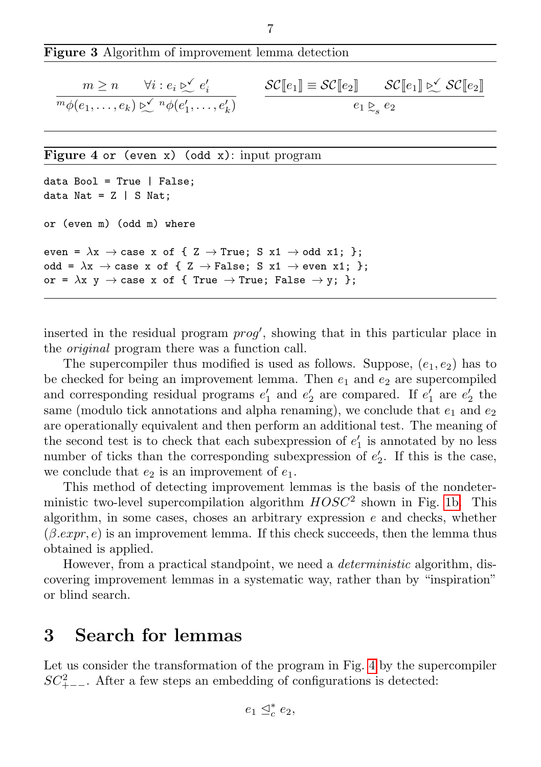| $\mathbb{E}^m \phi(e_1,\ldots,e_k) \triangleright \mathbb{E}^{\mathbb{E}^n} \phi(e'_1,\ldots,e'_k)$<br>$e_1 \gtrsim_e e_2$ |  |
|----------------------------------------------------------------------------------------------------------------------------|--|
|                                                                                                                            |  |

7

Figure 3 Algorithm of improvement lemma detection

Figure 4 or (even x) (odd x): input program

```
data Bool = True | False:
data Nat = Z | S Nat;
or (even m) (odd m) where
even = \lambdax \rightarrow case x of { Z \rightarrow True; S x1 \rightarrow odd x1; };
odd = \lambdax \rightarrow case x of { Z \rightarrow False; S x1 \rightarrow even x1; };
or = \lambdax y \rightarrow case x of { True \rightarrow True; False \rightarrow y; };
```
<span id="page-6-1"></span>inserted in the residual program  $proj'$ , showing that in this particular place in the original program there was a function call.

The supercompiler thus modified is used as follows. Suppose,  $(e_1, e_2)$  has to be checked for being an improvement lemma. Then  $e_1$  and  $e_2$  are supercompiled and corresponding residual programs  $e'_1$  and  $e'_2$  are compared. If  $e'_1$  are  $e'_2$  the same (modulo tick annotations and alpha renaming), we conclude that  $e_1$  and  $e_2$ are operationally equivalent and then perform an additional test. The meaning of the second test is to check that each subexpression of  $e'_1$  is annotated by no less number of ticks than the corresponding subexpression of  $e'_{2}$ . If this is the case, we conclude that  $e_2$  is an improvement of  $e_1$ .

This method of detecting improvement lemmas is the basis of the nondeterministic two-level supercompilation algorithm  $HOSC<sup>2</sup>$  shown in Fig. [1b.](#page-4-1) This algorithm, in some cases, choses an arbitrary expression  $e$  and checks, whether  $(\beta \cdot expr, e)$  is an improvement lemma. If this check succeeds, then the lemma thus obtained is applied.

However, from a practical standpoint, we need a *deterministic* algorithm, discovering improvement lemmas in a systematic way, rather than by "inspiration" or blind search.

# <span id="page-6-0"></span>3 Search for lemmas

Let us consider the transformation of the program in Fig. [4](#page-6-1) by the supercompiler  $SC_{+--}^2$ . After a few steps an embedding of configurations is detected:

 $e_1 \leq_c^* e_2,$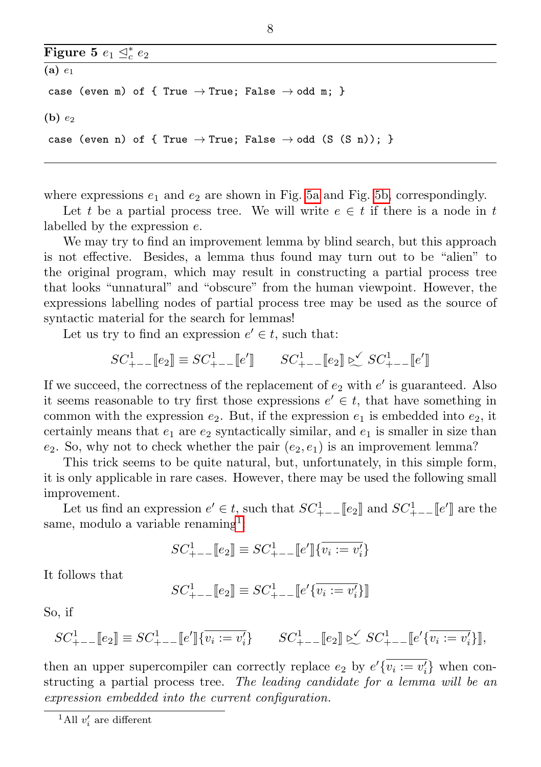<span id="page-7-1"></span><span id="page-7-0"></span>

| Figure 5 $e_1 \nightharpoonup_c^* e_2$ |  |  |  |  |  |  |  |  |                                                                                  |  |  |  |
|----------------------------------------|--|--|--|--|--|--|--|--|----------------------------------------------------------------------------------|--|--|--|
| $(a)$ $e_1$                            |  |  |  |  |  |  |  |  |                                                                                  |  |  |  |
|                                        |  |  |  |  |  |  |  |  | case (even m) of { True $\rightarrow$ True; False $\rightarrow$ odd m; }         |  |  |  |
| $(b)$ $e_2$                            |  |  |  |  |  |  |  |  |                                                                                  |  |  |  |
|                                        |  |  |  |  |  |  |  |  | case (even n) of { True $\rightarrow$ True; False $\rightarrow$ odd (S (S n)); } |  |  |  |

where expressions  $e_1$  and  $e_2$  are shown in Fig. [5a](#page-7-0) and Fig. [5b,](#page-7-1) correspondingly.

Let t be a partial process tree. We will write  $e \in t$  if there is a node in t labelled by the expression  $e$ .

We may try to find an improvement lemma by blind search, but this approach is not effective. Besides, a lemma thus found may turn out to be "alien" to the original program, which may result in constructing a partial process tree that looks "unnatural" and "obscure" from the human viewpoint. However, the expressions labelling nodes of partial process tree may be used as the source of syntactic material for the search for lemmas!

Let us try to find an expression  $e' \in t$ , such that:

$$
SC_{+--}^1[\![e_2]\!] \equiv SC_{+--}^1[\![e']\!] \qquad SC_{+--}^1[\![e_2]\!] \triangleright \hspace{-0.25cm} \simeq SC_{+--}^1[\![e']\!]
$$

If we succeed, the correctness of the replacement of  $e_2$  with  $e'$  is guaranteed. Also it seems reasonable to try first those expressions  $e' \in t$ , that have something in common with the expression  $e_2$ . But, if the expression  $e_1$  is embedded into  $e_2$ , it certainly means that  $e_1$  are  $e_2$  syntactically similar, and  $e_1$  is smaller in size than  $e_2$ . So, why not to check whether the pair  $(e_2, e_1)$  is an improvement lemma?

This trick seems to be quite natural, but, unfortunately, in this simple form, it is only applicable in rare cases. However, there may be used the following small improvement.

Let us find an expression  $e' \in t$ , such that  $SC_{+--}^{1}[[e_2]]$  and  $SC_{+--}^{1}[[e']]$  are the same, modulo a variable renaming<sup>[1](#page-7-2)</sup>:

$$
SC_{+--}^1[\![e_2]\!] \equiv SC_{+--}^1[\![e']\!]\{\overline{v_i := v_i'}\}
$$

It follows that

$$
SC_{+--}^1[\![e_2]\!] \equiv SC_{+--}^1[\![e'\{\overline{v_i:=v_i'}\}]\!]
$$

So, if

<sup>1</sup> <sup>+</sup>−−[[2]] ≡ <sup>1</sup> <sup>+</sup>−−[[ ′ ]]{ := ′ } <sup>1</sup> <sup>+</sup>−−[[2]] ◁ X <sup>1</sup> <sup>+</sup>−−[[ ′ { := ′ }]],

then an upper supercompiler can correctly replace  $e_2$  by  $e' \overline{v_i := v_i'}$  when constructing a partial process tree. The leading candidate for a lemma will be an expression embedded into the current configuration.

<span id="page-7-2"></span><sup>&</sup>lt;sup>1</sup>All  $v'_i$  are different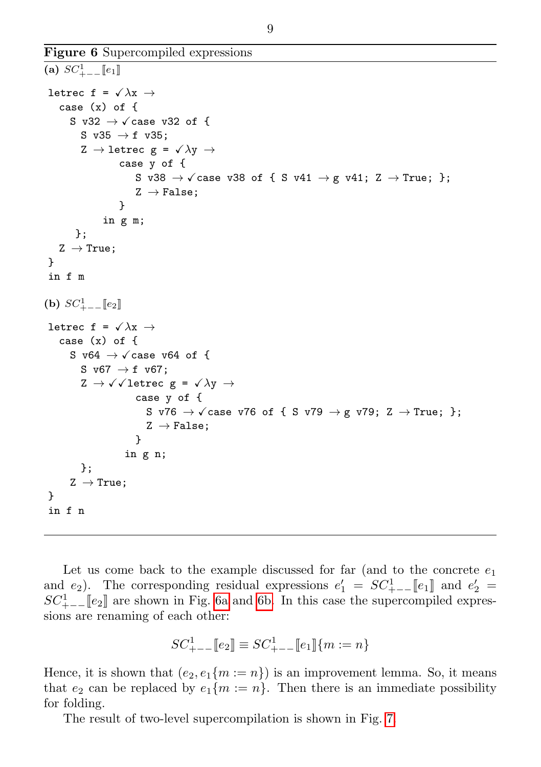Figure 6 Supercompiled expressions

```
(a) SC_{+--}^{1}[[e_1]]letrec f = \sqrt{\lambda x} \rightarrowcase (x) of {
      S v32 \rightarrow \sqrt{c} case v32 of {
          S v35 \rightarrow f v35:
          Z \rightarrow letrec g = \sqrt{\lambda y} \rightarrowcase y of {
                         S v38 \rightarrow \sqrt{c} ase v38 of { S v41 \rightarrow g v41; Z \rightarrow True; };
                         Z \rightarrow False:
                     }
                in g m;
        };
    Z \rightarrow True;}
 in f m
(b) SC_{+--}^{1}[[e_2]]letrec f = \sqrt{\lambda x} \rightarrowcase (x) of {
       S v64 \rightarrow \sqrt{c} case v64 of {
          S v67 \rightarrow f v67;
          Z \rightarrow \sqrt{2}letrec g = \sqrt{\lambda}y \rightarrowcase y of {
                            S v76 \rightarrow \sqrt{c} ase v76 of { S v79 \rightarrow g v79; Z \rightarrow True; };
                            Z \rightarrow False:
                         }
                      in g n;
          };
       Z \rightarrow True;
 }
 in f n
```
Let us come back to the example discussed for far (and to the concrete  $e_1$ ) and  $e_2$ ). The corresponding residual expressions  $e'_1 = SC_{+--}^{1}[[e_1]]$  and  $e'_2 =$  $SC_{+--}^{1}[[e_2]]$  are shown in Fig. [6a](#page-8-0) and [6b.](#page-8-1) In this case the supercompiled expressions are renaming of each other:

$$
SC_{+--}^1[\![e_2]\!] \equiv SC_{+--}^1[\![e_1]\!] \{m := n\}
$$

Hence, it is shown that  $(e_2, e_1\{m := n\})$  is an improvement lemma. So, it means that  $e_2$  can be replaced by  $e_1\{m := n\}$ . Then there is an immediate possibility for folding.

The result of two-level supercompilation is shown in Fig. [7.](#page-9-1)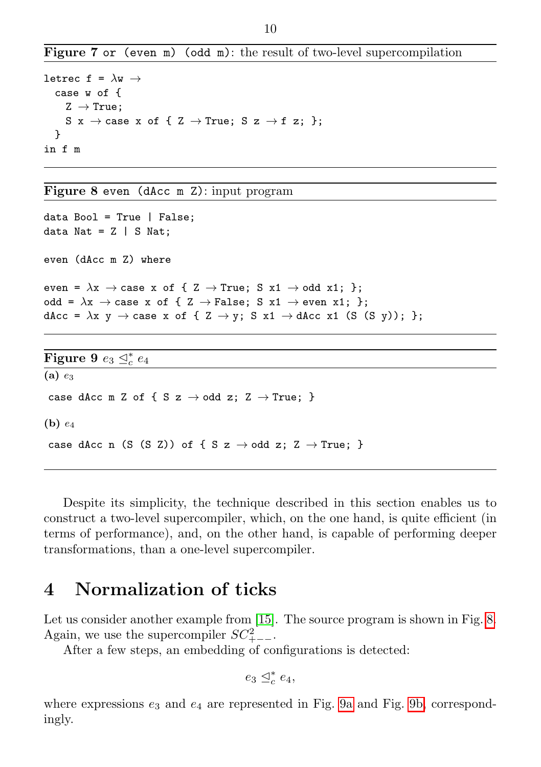Figure 7 or (even m) (odd m): the result of two-level supercompilation

```
letrec f = \lambdaw \rightarrowcase w of {
     Z \rightarrow True;
     S x \rightarrow case x of { Z \rightarrow True; S z \rightarrow f z; };
  }
in f m
```
<span id="page-9-1"></span>Figure 8 even (dAcc m Z): input program

```
data Bool = True | False;
data Nat = Z | S Nat;
even (dAcc m Z) where
even = \lambda x \rightarrow \text{case } x \text{ of } \{ Z \rightarrow \text{True}; S x1 \rightarrow \text{odd } x1; \};
odd = \lambdax \rightarrow case x of { Z \rightarrow False; S x1 \rightarrow even x1; };
dAcc = \lambda x y \rightarrow case x of { Z \rightarrow y; S x1 \rightarrow dAcc x1 (S (S y)); };
Figure 9 e_3 \trianglelefteq^*_c e_4(a) e_3case dAcc m Z of { S z \rightarrow odd z; Z \rightarrow True; }
(b) e_4case dAcc n (S (S Z)) of { S z \rightarrow odd z; Z \rightarrow True; }
```
<span id="page-9-4"></span><span id="page-9-3"></span>Despite its simplicity, the technique described in this section enables us to construct a two-level supercompiler, which, on the one hand, is quite efficient (in terms of performance), and, on the other hand, is capable of performing deeper transformations, than a one-level supercompiler.

### <span id="page-9-0"></span>4 Normalization of ticks

Let us consider another example from [\[15\]](#page-26-0). The source program is shown in Fig. [8.](#page-9-2) Again, we use the supercompiler  $SC_{+--}^2$ .

After a few steps, an embedding of configurations is detected:

```
e_3 \trianglelefteq_c^* e_4,
```
where expressions  $e_3$  and  $e_4$  are represented in Fig. [9a](#page-9-3) and Fig. [9b,](#page-9-4) correspondingly.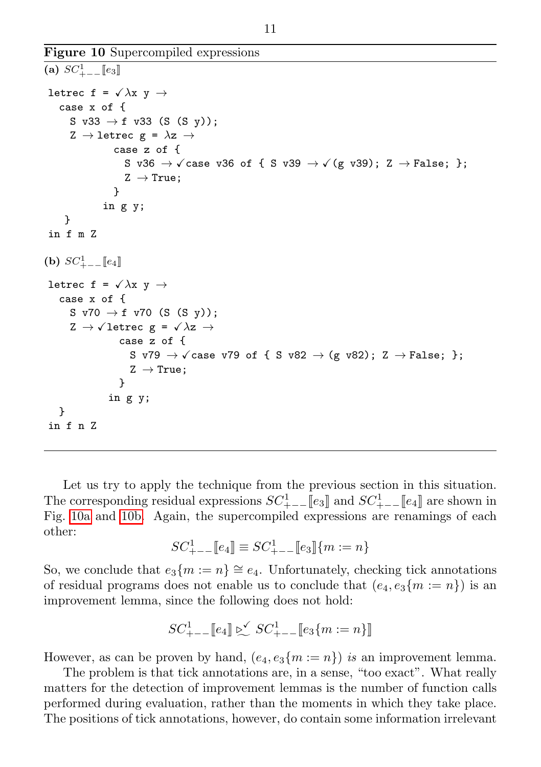Figure 10 Supercompiled expressions

```
(a) SC_{+--}^{1}[[e_3]]letrec f = \sqrt{\lambda}x y \rightarrowcase x of {
      S v33 \rightarrow f v33 (S (S y));
      Z \rightarrow letrec g = \lambda z \rightarrowcase z of {
                     S v36 \rightarrow \sqrt{c} ase v36 of { S v39 \rightarrow \sqrt{g} v39); Z \rightarrow False; };
                     Z \rightarrow True;}
               in g y;
     }
in f m Z
(b) SC_{+--}^{1}[[e_4]]letrec f = \sqrt{\lambda x} y \rightarrowcase x of {
      S v70 \rightarrow f v70 (S (S y));
      Z \rightarrow \sqrt{letrec} g = \sqrt{\lambda z} \rightarrowcase z of {
                       S v79 \rightarrow \sqrt{c} ase v79 of { S v82 \rightarrow (g v82); Z \rightarrow False; };
                       Z \rightarrow True;
                    }
                 in g y;
   }
in f n Z
```
Let us try to apply the technique from the previous section in this situation. The corresponding residual expressions  $SC_{+--}^{1}[[e_3]]$  and  $SC_{+--}^{1}[[e_4]]$  are shown in Fig. [10a](#page-10-0) and [10b.](#page-10-1) Again, the supercompiled expressions are renamings of each other:

$$
SC_{+--}^1[\![e_4]\!] \equiv SC_{+--}^1[\![e_3]\!](m := n\}
$$

So, we conclude that  $e_3\{m:=n\} \cong e_4$ . Unfortunately, checking tick annotations of residual programs does not enable us to conclude that  $(e_4, e_3\{m := n\})$  is an improvement lemma, since the following does not hold:

<sup>1</sup> <sup>+</sup>−−[[4]] ◁ X <sup>1</sup> <sup>+</sup>−−[[3{ := }]]

However, as can be proven by hand,  $(e_4, e_3\{m := n\})$  is an improvement lemma.

The problem is that tick annotations are, in a sense, "too exact". What really matters for the detection of improvement lemmas is the number of function calls performed during evaluation, rather than the moments in which they take place. The positions of tick annotations, however, do contain some information irrelevant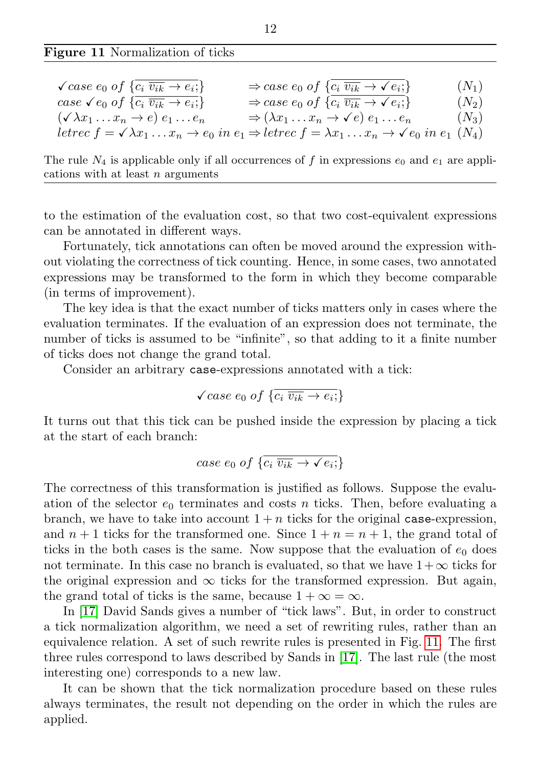Figure 11 Normalization of ticks

| $\sqrt{case\ e_0\ of\ \{c_i\ \overline{v_{ik}}\rightarrow e_i\}}$    | $\Rightarrow$ case $e_0$ of $\{c_i \overline{v_{ik}} \rightarrow \checkmark e_i\}$                                                                                    | $(N_1)$ |
|----------------------------------------------------------------------|-----------------------------------------------------------------------------------------------------------------------------------------------------------------------|---------|
| case $\sqrt{e_0}$ of $\{\overline{c_i}\,\overline{v_{ik}} \to e_i\}$ | $\Rightarrow$ case $e_0$ of $\{c_i \overline{v_{ik}} \rightarrow \check{e_i};\}$                                                                                      | $(N_2)$ |
| $(\sqrt{\lambda}x_1 \ldots x_n \rightarrow e) e_1 \ldots e_n$        | $\Rightarrow (\lambda x_1 \ldots x_n \rightarrow \check{e}) e_1 \ldots e_n$                                                                                           | $(N_3)$ |
|                                                                      | letrec $f = \sqrt{\lambda x_1 \ldots x_n} \rightarrow e_0$ in $e_1 \Rightarrow$ letrec $f = \lambda x_1 \ldots x_n \rightarrow \sqrt{e_0}$ in $e_1$ (N <sub>4</sub> ) |         |

The rule  $N_4$  is applicable only if all occurrences of f in expressions  $e_0$  and  $e_1$  are applications with at least  $n$  arguments

to the estimation of the evaluation cost, so that two cost-equivalent expressions can be annotated in different ways.

Fortunately, tick annotations can often be moved around the expression without violating the correctness of tick counting. Hence, in some cases, two annotated expressions may be transformed to the form in which they become comparable (in terms of improvement).

The key idea is that the exact number of ticks matters only in cases where the evaluation terminates. If the evaluation of an expression does not terminate, the number of ticks is assumed to be "infinite", so that adding to it a finite number of ticks does not change the grand total.

Consider an arbitrary case-expressions annotated with a tick:

$$
\sqrt{case\ e_0\ of\ \{\overline{c_i\ \overline{v_{ik}}\rightarrow e_i;}\}}
$$

It turns out that this tick can be pushed inside the expression by placing a tick at the start of each branch:

case 
$$
e_0
$$
 of  $\{c_i \overline{v_{ik}} \to \checkmark e_i\}$ 

The correctness of this transformation is justified as follows. Suppose the evaluation of the selector  $e_0$  terminates and costs *n* ticks. Then, before evaluating a branch, we have to take into account  $1 + n$  ticks for the original case-expression, and  $n+1$  ticks for the transformed one. Since  $1+n=n+1$ , the grand total of ticks in the both cases is the same. Now suppose that the evaluation of  $e_0$  does not terminate. In this case no branch is evaluated, so that we have  $1+\infty$  ticks for the original expression and  $\infty$  ticks for the transformed expression. But again, the grand total of ticks is the same, because  $1 + \infty = \infty$ .

In [\[17\]](#page-26-5) David Sands gives a number of "tick laws". But, in order to construct a tick normalization algorithm, we need a set of rewriting rules, rather than an equivalence relation. A set of such rewrite rules is presented in Fig. [11.](#page-0-0) The first three rules correspond to laws described by Sands in [\[17\]](#page-26-5). The last rule (the most interesting one) corresponds to a new law.

It can be shown that the tick normalization procedure based on these rules always terminates, the result not depending on the order in which the rules are applied.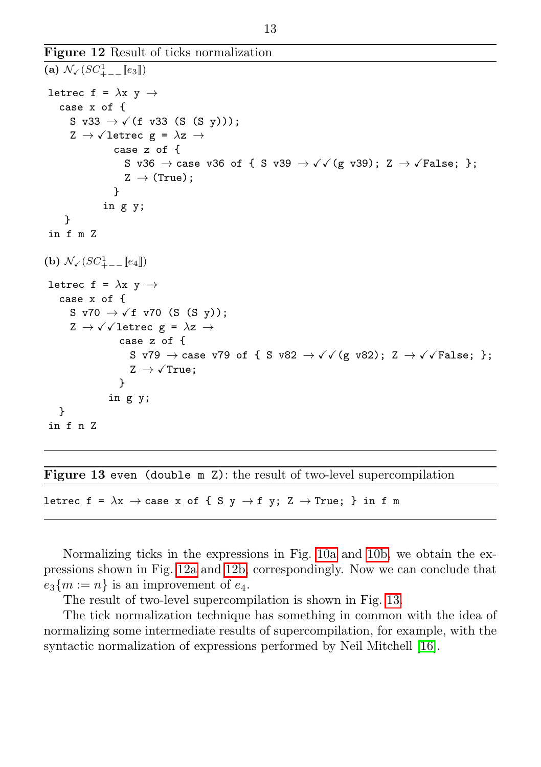Figure 12 Result of ticks normalization

```
(a) \mathcal{N}_{\checkmark} (SC<sup>1</sup><sub>+--</sub>[e<sub>3</sub>])
letrec f = \lambdax y \rightarrowcase x of {
       S v33 \rightarrow \checkmark (f v33 (S (S y)));
       Z \rightarrow \sqrt{1}etrec g = \lambda z \rightarrowcase z of {
                        S v36 \rightarrow case v36 of { S v39 \rightarrow \sqrt{(g \text{ v39})}; Z \rightarrow \sqrt{F}alse; };
                        Z \rightarrow (True);}
                 in g y;
      }
 in f m Z
(b) N\sqrt{SC_{+--}^1[e_4]})
letrec f = \lambdax v \rightarrowcase x of {
       S v70 \rightarrow \checkmarkf v70 (S (S y));
       Z \rightarrow \sqrt{1}etrec g = \lambda z \rightarrowcase z of {
                         S v79 \rightarrow case v79 of { S v82 \rightarrow \sqrt{(g \text{ v}82)}; Z \rightarrow \sqrt{(g \text{ False})}; };
                         Z \rightarrow \sqrt{True};
                      }
                   in g y;
    }
 in f n Z
```
Figure 13 even (double m Z): the result of two-level supercompilation

<span id="page-12-2"></span>letrec f =  $\lambda$ x  $\rightarrow$  case x of { S y  $\rightarrow$  f y; Z  $\rightarrow$  True; } in f m

Normalizing ticks in the expressions in Fig. [10a](#page-10-0) and [10b,](#page-10-1) we obtain the expressions shown in Fig. [12a](#page-12-0) and [12b,](#page-12-1) correspondingly. Now we can conclude that  $e_3\{m:=n\}$  is an improvement of  $e_4$ .

The result of two-level supercompilation is shown in Fig. [13.](#page-12-2)

The tick normalization technique has something in common with the idea of normalizing some intermediate results of supercompilation, for example, with the syntactic normalization of expressions performed by Neil Mitchell [\[16\]](#page-26-6).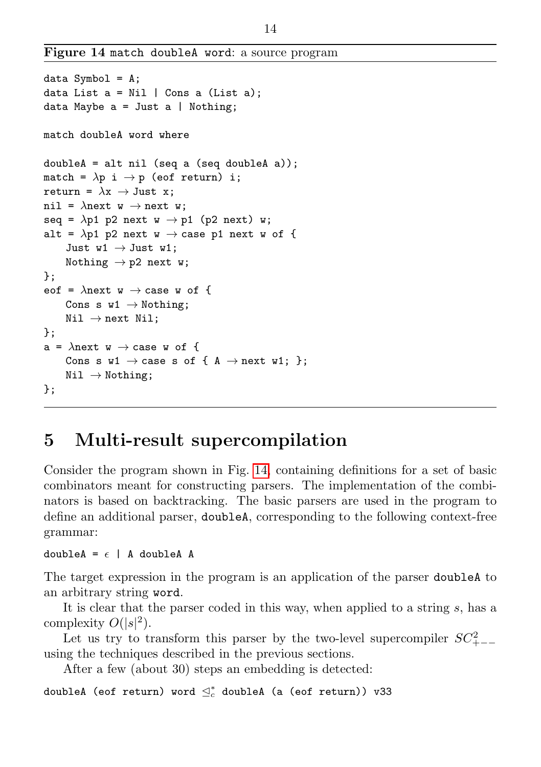Figure 14 match doubleA word: a source program

```
data Symbol = A;
data List a = Nil | Cons a (List a);
data Maybe a = Just a | Notbing;match doubleA word where
doubleA = alt nil (seq a (seq doubleA a));
match = \lambda p i \rightarrow p (eof return) i;
return = \lambda x \rightarrow Just x;
nil = \lambdanext w \rightarrow next w;
seq = \lambdap1 p2 next w \rightarrow p1 (p2 next) w;
alt = \lambdap1 p2 next w \rightarrow case p1 next w of {
     Just w1 \rightarrow Just w1;
     Nothing \rightarrow p2 next w;
};
eof = \lambdanext w \rightarrow case w of {
     Cons s w1 \rightarrow Nothing;
     Nil \rightarrow next Nil:
};
a = \lambdanext w \rightarrow case w of {
     Cons s w1 \rightarrow case s of { A \rightarrow next w1; };
     Nil \rightarrow Nothing;
};
```
# <span id="page-13-1"></span><span id="page-13-0"></span>5 Multi-result supercompilation

Consider the program shown in Fig. [14,](#page-13-1) containing definitions for a set of basic combinators meant for constructing parsers. The implementation of the combinators is based on backtracking. The basic parsers are used in the program to define an additional parser, doubleA, corresponding to the following context-free grammar:

#### doubleA =  $\epsilon$  | A doubleA A

The target expression in the program is an application of the parser doubleA to an arbitrary string word.

It is clear that the parser coded in this way, when applied to a string  $s$ , has a complexity  $O(|s|^2)$ .

Let us try to transform this parser by the two-level supercompiler  $SC_{+--}^2$ using the techniques described in the previous sections.

After a few (about 30) steps an embedding is detected:

doubleA (eof return) word  $\trianglelefteq^*_c$  doubleA (a (eof return)) v33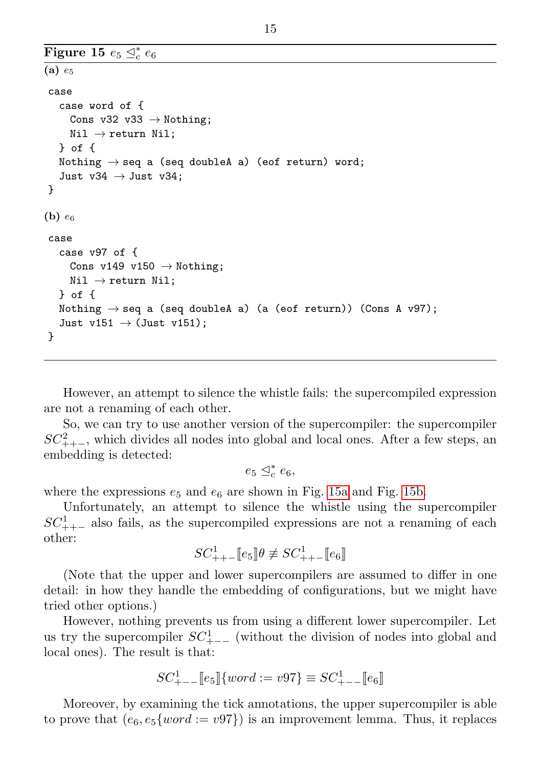```
Figure 15 e_5 \trianglelefteq^*_c e_6(a) e_5case
   case word of {
     Cons v32 v33 \rightarrow Nothing;
     Nil \rightarrow return Nil;
   } of {
   Nothing \rightarrow seq a (seq doubleA a) (eof return) word;
   Just v34 \rightarrow Just v34;
}
(b) e_6case
   case v97 of {
     Cons v149 v150 \rightarrow Nothing;
     Nil \rightarrow return Nil;
   } of {
   Nothing \rightarrow seq a (seq doubleA a) (a (eof return)) (Cons A v97);
   Just v151 \rightarrow (Just v151);
 }
```
However, an attempt to silence the whistle fails: the supercompiled expression are not a renaming of each other.

So, we can try to use another version of the supercompiler: the supercompiler  $SC_{++-}^2$ , which divides all nodes into global and local ones. After a few steps, an embedding is detected:

 $e_5 \trianglelefteq^*_{c} e_6,$ 

where the expressions  $e_5$  and  $e_6$  are shown in Fig. [15a](#page-14-0) and Fig. [15b.](#page-14-1)

Unfortunately, an attempt to silence the whistle using the supercompiler  $SC_{++-}^1$  also fails, as the supercompiled expressions are not a renaming of each other:

 $SC_{++-}^{1}[[e_5]\theta \not\equiv SC_{++-}^{1}[[e_6]]$ 

(Note that the upper and lower supercompilers are assumed to differ in one detail: in how they handle the embedding of configurations, but we might have tried other options.)

However, nothing prevents us from using a different lower supercompiler. Let us try the supercompiler  $SC_{+--}^{1}$  (without the division of nodes into global and local ones). The result is that:

$$
SC_{---}^1[e_5] \{ word := v97\} \equiv SC_{---}^1[e_6]
$$

Moreover, by examining the tick annotations, the upper supercompiler is able to prove that  $(e_6, e_5 \{ word := v97\})$  is an improvement lemma. Thus, it replaces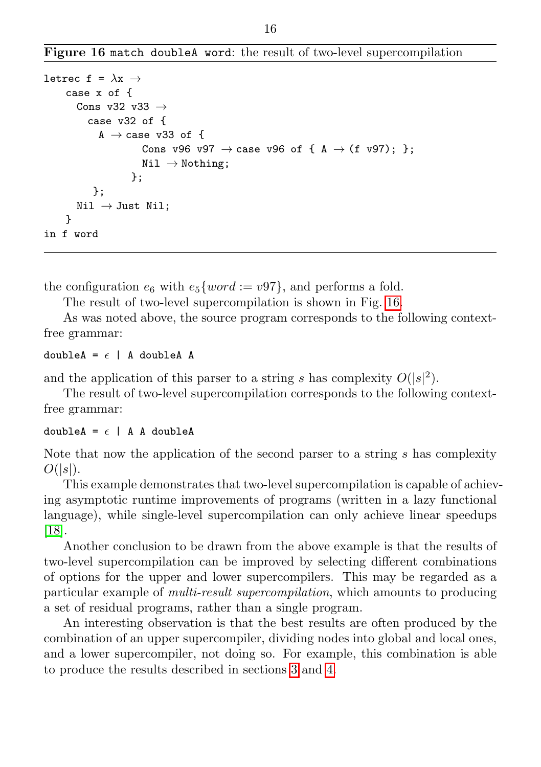Figure 16 match doubleA word: the result of two-level supercompilation

```
letrec f = \lambda x \rightarrowcase x of {
       Cons v32 v33 \rightarrowcase v32 of {
             A \rightarrow case v33 of {
                       Cons v96 v97 \rightarrow case v96 of { A \rightarrow (f v97); };
                       Nil \rightarrow Nothing;
                    };
           };
       Nil \rightarrow Just Nil;}
in f word
```
<span id="page-15-0"></span>the configuration  $e_6$  with  $e_5 \{word := v97\}$ , and performs a fold.

The result of two-level supercompilation is shown in Fig. [16.](#page-15-0)

As was noted above, the source program corresponds to the following contextfree grammar:

#### doubleA =  $\epsilon$  | A doubleA A

and the application of this parser to a string s has complexity  $O(|s|^2)$ .

The result of two-level supercompilation corresponds to the following contextfree grammar:

#### doubleA =  $\epsilon$  | A A doubleA

Note that now the application of the second parser to a string  $s$  has complexity  $O(|s|)$ .

This example demonstrates that two-level supercompilation is capable of achieving asymptotic runtime improvements of programs (written in a lazy functional language), while single-level supercompilation can only achieve linear speedups [\[18\]](#page-26-7).

Another conclusion to be drawn from the above example is that the results of two-level supercompilation can be improved by selecting different combinations of options for the upper and lower supercompilers. This may be regarded as a particular example of multi-result supercompilation, which amounts to producing a set of residual programs, rather than a single program.

An interesting observation is that the best results are often produced by the combination of an upper supercompiler, dividing nodes into global and local ones, and a lower supercompiler, not doing so. For example, this combination is able to produce the results described in sections [3](#page-6-0) and [4.](#page-9-0)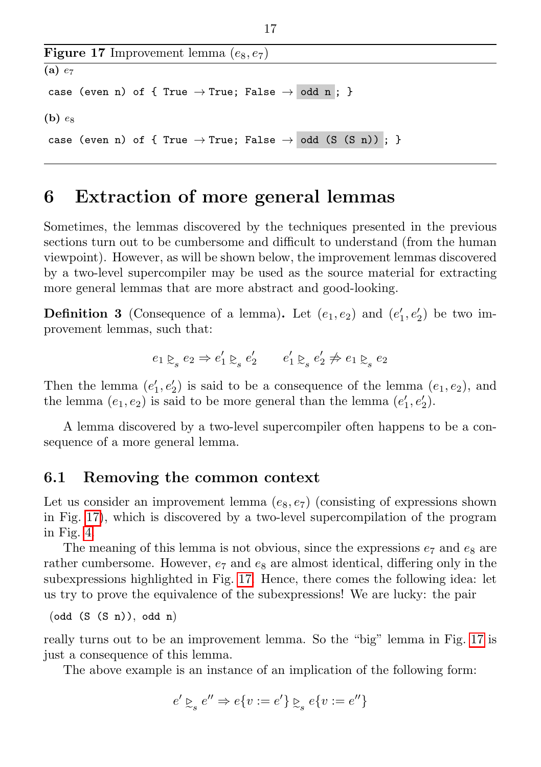```
Figure 17 Improvement lemma (e_8, e_7)(a) e_7case (even n) of { True \rightarrow True; False \rightarrow odd n ; }
(b) escase (even n) of { True \rightarrow True; False \rightarrow odd (S (S n)) ; }
```
# <span id="page-16-2"></span><span id="page-16-0"></span>6 Extraction of more general lemmas

Sometimes, the lemmas discovered by the techniques presented in the previous sections turn out to be cumbersome and difficult to understand (from the human viewpoint). However, as will be shown below, the improvement lemmas discovered by a two-level supercompiler may be used as the source material for extracting more general lemmas that are more abstract and good-looking.

**Definition 3** (Consequence of a lemma). Let  $(e_1, e_2)$  and  $(e'_1, e'_2)$  be two improvement lemmas, such that:

$$
e_1 \gtrsim_s e_2 \Rightarrow e'_1 \gtrsim_s e'_2 \qquad e'_1 \gtrsim_s e'_2 \not\Rightarrow e_1 \gtrsim_s e_2
$$

Then the lemma  $(e'_1, e'_2)$  is said to be a consequence of the lemma  $(e_1, e_2)$ , and the lemma  $(e_1, e_2)$  is said to be more general than the lemma  $(e'_1, e'_2)$ .

A lemma discovered by a two-level supercompiler often happens to be a consequence of a more general lemma.

#### <span id="page-16-1"></span>6.1 Removing the common context

Let us consider an improvement lemma  $(e_8, e_7)$  (consisting of expressions shown in Fig. [17\)](#page-16-2), which is discovered by a two-level supercompilation of the program in Fig. [4.](#page-6-1)

The meaning of this lemma is not obvious, since the expressions  $e_7$  and  $e_8$  are rather cumbersome. However,  $e_7$  and  $e_8$  are almost identical, differing only in the subexpressions highlighted in Fig. [17.](#page-16-2) Hence, there comes the following idea: let us try to prove the equivalence of the subexpressions! We are lucky: the pair

```
(odd (S (S n)), odd n)
```
really turns out to be an improvement lemma. So the "big" lemma in Fig. [17](#page-16-2) is just a consequence of this lemma.

The above example is an instance of an implication of the following form:

$$
e'\succsim_s e''\Rightarrow e\{v:=e'\}\succsim_s e\{v:=e''\}
$$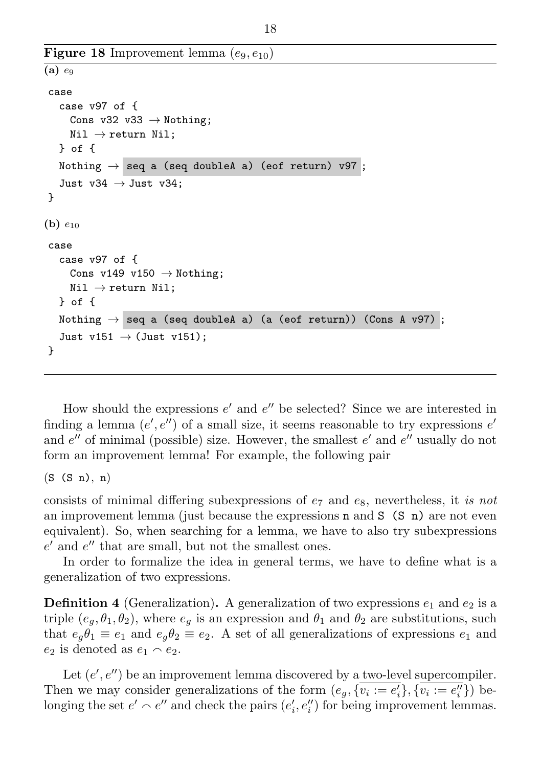```
Figure 18 Improvement lemma (e_9, e_{10})(a) e_9case
   case v97 of {
     Cons v32 v33 \rightarrow Nothing;
     Nil \rightarrow return Nil;
   } of {
   Nothing \rightarrow seq a (seq doubleA a) (eof return) v97;
   Just v34 \rightarrow Just v34:
}
(b) e_{10}case
   case v97 of {
     Cons v149 v150 \rightarrow Nothing;
     Nil \rightarrow return Nil;
   } of {
   Nothing \rightarrow seq a (seq doubleA a) (a (eof return)) (Cons A v97);
   Just v151 \rightarrow (Just v151);
}
```
<span id="page-17-0"></span>How should the expressions  $e'$  and  $e''$  be selected? Since we are interested in finding a lemma  $(e', e'')$  of a small size, it seems reasonable to try expressions  $e'$ and  $e''$  of minimal (possible) size. However, the smallest  $e'$  and  $e''$  usually do not form an improvement lemma! For example, the following pair

 $(S (S n), n)$ 

consists of minimal differing subexpressions of  $e_7$  and  $e_8$ , nevertheless, it is not an improvement lemma (just because the expressions  $n$  and  $S$  (S n) are not even equivalent). So, when searching for a lemma, we have to also try subexpressions  $e'$  and  $e''$  that are small, but not the smallest ones.

In order to formalize the idea in general terms, we have to define what is a generalization of two expressions.

**Definition 4** (Generalization). A generalization of two expressions  $e_1$  and  $e_2$  is a triple  $(e_a, \theta_1, \theta_2)$ , where  $e_a$  is an expression and  $\theta_1$  and  $\theta_2$  are substitutions, such that  $e_{\alpha} \theta_1 \equiv e_1$  and  $e_{\alpha} \theta_2 \equiv e_2$ . A set of all generalizations of expressions  $e_1$  and  $e_2$  is denoted as  $e_1 \wedge e_2$ .

Let  $(e', e'')$  be an improvement lemma discovered by a two-level supercompiler. Then we may consider generalizations of the form  $(e_g, {\overline{v_i := e'_i}}, {\overline{v_i := e''_i}})$  belonging the set  $e' \sim e''$  and check the pairs  $(e'_i, e''_i)$  for being improvement lemmas.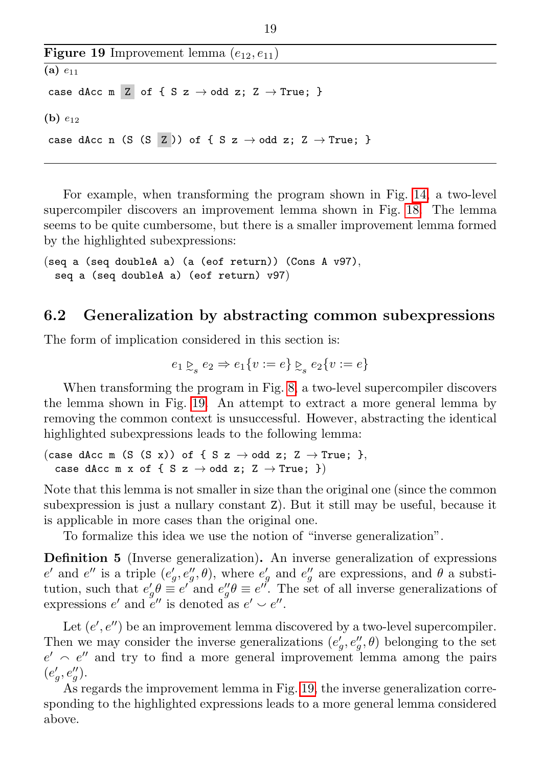Figure 19 Improvement lemma  $(e_{12}, e_{11})$ (a)  $e_{11}$ case dAcc m Z of { S z  $\rightarrow$  odd z; Z  $\rightarrow$  True; } (b)  $e_{12}$ case dAcc n (S (S Z )) of { S z  $\rightarrow$  odd z; Z  $\rightarrow$  True; }

<span id="page-18-1"></span>For example, when transforming the program shown in Fig. [14,](#page-13-1) a two-level supercompiler discovers an improvement lemma shown in Fig. [18.](#page-17-0) The lemma seems to be quite cumbersome, but there is a smaller improvement lemma formed by the highlighted subexpressions:

```
(seq a (seq doubleA a) (a (eof return)) (Cons A v97),
 seq a (seq doubleA a) (eof return) v97)
```
#### <span id="page-18-0"></span>6.2 Generalization by abstracting common subexpressions

The form of implication considered in this section is:

$$
e_1 \underset{\sim_s}{\rhd} e_2 \Rightarrow e_1 \{v := e\} \underset{\sim_s}{\rhd} e_2 \{v := e\}
$$

When transforming the program in Fig. [8,](#page-9-2) a two-level supercompiler discovers the lemma shown in Fig. [19.](#page-18-1) An attempt to extract a more general lemma by removing the common context is unsuccessful. However, abstracting the identical highlighted subexpressions leads to the following lemma:

(case dAcc m (S (S x)) of { S z  $\rightarrow$  odd z; Z  $\rightarrow$  True; }, case dAcc m x of { S z  $\rightarrow$  odd z; Z  $\rightarrow$  True; })

Note that this lemma is not smaller in size than the original one (since the common subexpression is just a nullary constant Z). But it still may be useful, because it is applicable in more cases than the original one.

To formalize this idea we use the notion of "inverse generalization".

Definition 5 (Inverse generalization). An inverse generalization of expressions  $e'$  and  $e''$  is a triple  $(e'_g, e''_g, \theta)$ , where  $e'_g$  and  $e''_g$  are expressions, and  $\theta$  a substitution, such that  $e'_g \theta \equiv e'$  and  $e''_g \theta \equiv e''$ . The set of all inverse generalizations of expressions  $e'$  and  $e''$  is denoted as  $e' \smile e''$ .

Let  $(e', e'')$  be an improvement lemma discovered by a two-level supercompiler. Then we may consider the inverse generalizations  $(e'_{g}, e''_{g}, \theta)$  belonging to the set  $e' \sim e''$  and try to find a more general improvement lemma among the pairs  $(e'_{g}, e''_{g}).$ 

As regards the improvement lemma in Fig. [19,](#page-18-1) the inverse generalization corresponding to the highlighted expressions leads to a more general lemma considered above.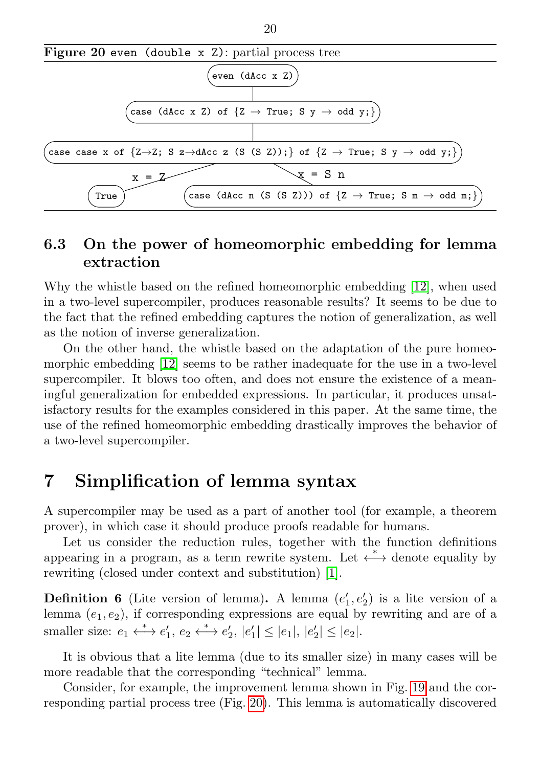

### <span id="page-19-0"></span>6.3 On the power of homeomorphic embedding for lemma extraction

Why the whistle based on the refined homeomorphic embedding [\[12\]](#page-26-2), when used in a two-level supercompiler, produces reasonable results? It seems to be due to the fact that the refined embedding captures the notion of generalization, as well as the notion of inverse generalization.

On the other hand, the whistle based on the adaptation of the pure homeomorphic embedding [\[12\]](#page-26-2) seems to be rather inadequate for the use in a two-level supercompiler. It blows too often, and does not ensure the existence of a meaningful generalization for embedded expressions. In particular, it produces unsatisfactory results for the examples considered in this paper. At the same time, the use of the refined homeomorphic embedding drastically improves the behavior of a two-level supercompiler.

# <span id="page-19-1"></span>7 Simplification of lemma syntax

A supercompiler may be used as a part of another tool (for example, a theorem prover), in which case it should produce proofs readable for humans.

Let us consider the reduction rules, together with the function definitions appearing in a program, as a term rewrite system. Let  $\stackrel{*}{\longleftrightarrow}$  denote equality by rewriting (closed under context and substitution) [\[1\]](#page-25-1).

**Definition 6** (Lite version of lemma). A lemma  $(e'_1, e'_2)$  is a lite version of a lemma  $(e_1, e_2)$ , if corresponding expressions are equal by rewriting and are of a smaller size:  $e_1 \leftrightarrow e'_1, e_2 \leftrightarrow e'_2, |e'_1| \leq |e_1|, |e'_2| \leq |e_2|$ .

It is obvious that a lite lemma (due to its smaller size) in many cases will be more readable that the corresponding "technical" lemma.

Consider, for example, the improvement lemma shown in Fig. [19](#page-18-1) and the corresponding partial process tree (Fig. [20\)](#page-0-0). This lemma is automatically discovered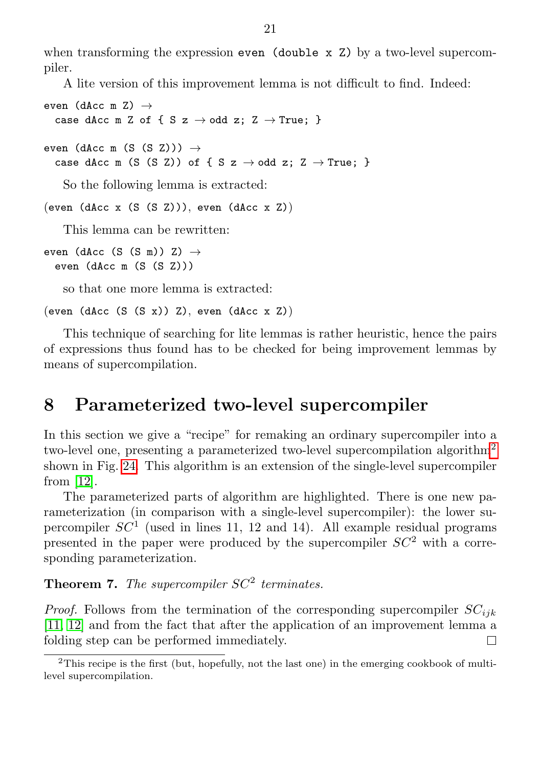when transforming the expression even (double  $x$  Z) by a two-level supercompiler.

A lite version of this improvement lemma is not difficult to find. Indeed:

```
even (dAcc m Z) \rightarrowcase dAcc m Z of { S z \rightarrow odd z; Z \rightarrow True; }
even (dAcc m (S (S Z))) \rightarrowcase dAcc m (S (S Z)) of { S z \rightarrow odd z; Z \rightarrow True; }
```
So the following lemma is extracted:

```
(even (dAcc x (S (S Z))), even (dAcc x Z))
```
This lemma can be rewritten:

even (dAcc (S (S m)) Z)  $\rightarrow$ even (dAcc m (S (S Z)))

so that one more lemma is extracted:

```
(even (dAcc (S (S x)) Z), even (dAcc x Z))
```
This technique of searching for lite lemmas is rather heuristic, hence the pairs of expressions thus found has to be checked for being improvement lemmas by means of supercompilation.

# <span id="page-20-0"></span>8 Parameterized two-level supercompiler

In this section we give a "recipe" for remaking an ordinary supercompiler into a two-level one, presenting a parameterized two-level supercompilation algorithm[2](#page-20-1) shown in Fig. [24.](#page-21-0) This algorithm is an extension of the single-level supercompiler from [\[12\]](#page-26-2).

The parameterized parts of algorithm are highlighted. There is one new parameterization (in comparison with a single-level supercompiler): the lower supercompiler  $SC<sup>1</sup>$  (used in lines 11, 12 and 14). All example residual programs presented in the paper were produced by the supercompiler  $SC^2$  with a corresponding parameterization.

**Theorem 7.** The supercompiler  $SC^2$  terminates.

*Proof.* Follows from the termination of the corresponding supercompiler  $SC_{ijk}$ [\[11,](#page-26-8) [12\]](#page-26-2) and from the fact that after the application of an improvement lemma a folding step can be performed immediately. П

<span id="page-20-1"></span><sup>2</sup>This recipe is the first (but, hopefully, not the last one) in the emerging cookbook of multilevel supercompilation.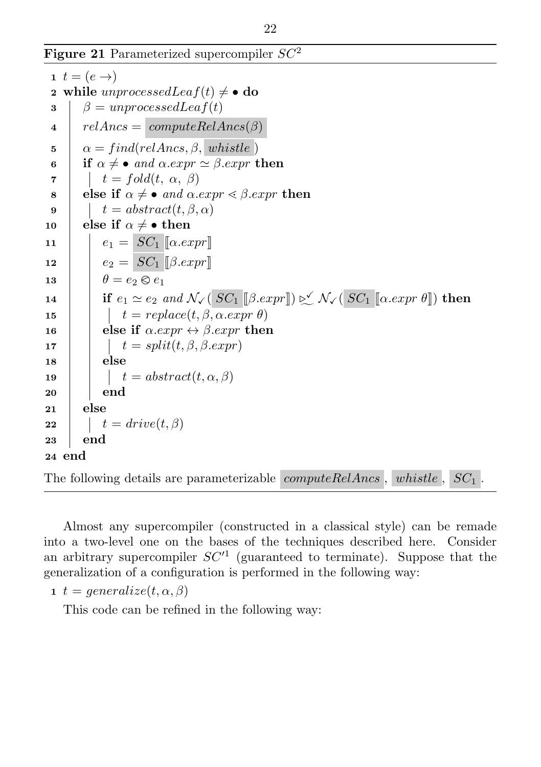Figure 21 Parameterized supercompiler  $SC^2$ 

```
1 t = (e \rightarrow)2 while unprocessed Lea f(t) \neq \bullet do
 \beta = unprocessedLeaf(t)4 relAnsc = computeRelAnsc(s)\sigma = find (relAncs, \beta, \textit{whistle})6 if \alpha \neq \bullet and \alpha . exp r \simeq \beta . exp r then
 \tau | t = fold(t, \alpha, \beta)8 else if \alpha \neq \bullet and \alpha . expr \leq \beta . expr then
 9 t = abstract(t, \beta, \alpha)10 else if \alpha \neq \bullet then
11 e_1 = SC_1 \ [\alpha . exp r]12 e_2 = SC_1 \sim \mathcal{S}C_113 \theta = e_2 \otimes e_1<br>
14 if e_1 \simeq e_2 e_114 | if e_1 \simeq e_2 and \mathcal{N}_{\checkmark}(\overline{\textit{SC}_1 \parallel \beta . \textit{expr}}]) \triangleright \checkmark \; \mathcal{N}_{\checkmark}(\overline{\textit{SC}_1 \parallel \alpha . \textit{expr} \theta \parallel}) then
15 \vert t = replace(t, \beta, \alpha . exp r \theta)16 else if \alpha . exp r \leftrightarrow \beta . exp r then
17 \vert t = split(t, \beta, \beta, expr)18 else
19 \vert t = abstract(t, \alpha, \beta)20 end
21 else
22 \vert t = drive(t, \beta)23 end
24 end
```
<span id="page-21-0"></span>The following details are parameterizable  $\mathit{computeRelAnsc}$ ,  $\mathit{whistle}$ ,  $\mathit{SC}_1$ .

Almost any supercompiler (constructed in a classical style) can be remade into a two-level one on the bases of the techniques described here. Consider an arbitrary supercompiler  $SC<sup>1</sup>$  (guaranteed to terminate). Suppose that the generalization of a configuration is performed in the following way:

1  $t = generalized(t, \alpha, \beta)$ 

This code can be refined in the following way: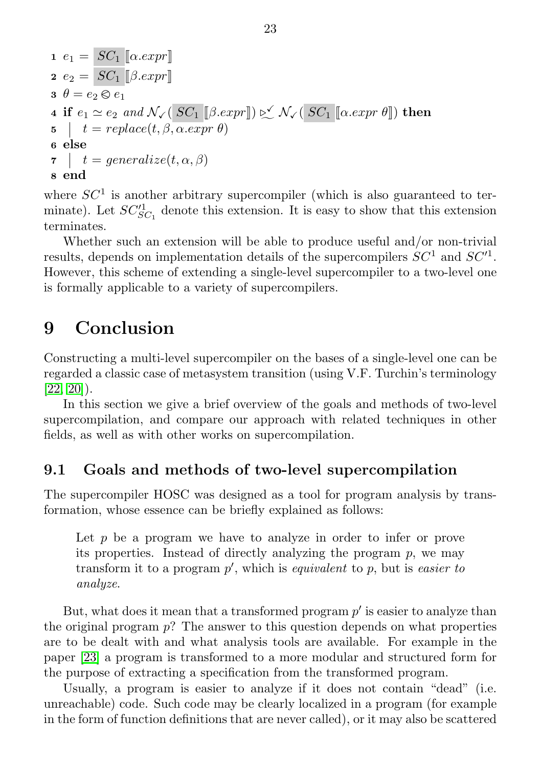1 
$$
e_1 = SC_1 [\alpha . expr]
$$
  
\n2  $e_2 = SC_1 [\beta . expr]$   
\n3  $\theta = e_2 \otimes e_1$   
\n4 if  $e_1 \simeq e_2$  and  $\mathcal{N}_{\checkmark}$  ( $SC_1 [\beta . expr]) \simeq \mathcal{N}_{\checkmark}$  ( $SC_1 [\alpha . expr \theta]$ ) then  
\n5  $| t = replace(t, \beta, \alpha . expr \theta)$   
\n6 else  
\n7  $| t = generalize(t, \alpha, \beta)$   
\n8 end

where  $SC<sup>1</sup>$  is another arbitrary supercompiler (which is also guaranteed to terminate). Let  $SC_{SC_1}^{\prime 1}$  denote this extension. It is easy to show that this extension terminates.

Whether such an extension will be able to produce useful and/or non-trivial results, depends on implementation details of the supercompilers  $SC^1$  and  $SC'^1$ . However, this scheme of extending a single-level supercompiler to a two-level one is formally applicable to a variety of supercompilers.

## <span id="page-22-0"></span>9 Conclusion

Constructing a multi-level supercompiler on the bases of a single-level one can be regarded a classic case of metasystem transition (using V.F. Turchin's terminology  $[22, 20]$  $[22, 20]$ ).

In this section we give a brief overview of the goals and methods of two-level supercompilation, and compare our approach with related techniques in other fields, as well as with other works on supercompilation.

#### <span id="page-22-1"></span>9.1 Goals and methods of two-level supercompilation

The supercompiler HOSC was designed as a tool for program analysis by transformation, whose essence can be briefly explained as follows:

Let  $p$  be a program we have to analyze in order to infer or prove its properties. Instead of directly analyzing the program  $p$ , we may transform it to a program  $p'$ , which is *equivalent* to  $p$ , but is *easier to* analyze.

But, what does it mean that a transformed program  $p'$  is easier to analyze than the original program  $p$ ? The answer to this question depends on what properties are to be dealt with and what analysis tools are available. For example in the paper [\[23\]](#page-27-1) a program is transformed to a more modular and structured form for the purpose of extracting a specification from the transformed program.

Usually, a program is easier to analyze if it does not contain "dead" (i.e. unreachable) code. Such code may be clearly localized in a program (for example in the form of function definitions that are never called), or it may also be scattered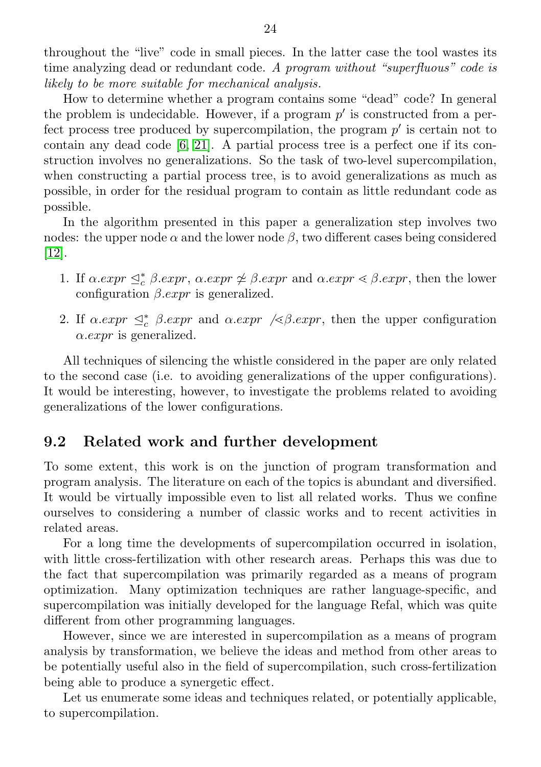throughout the "live" code in small pieces. In the latter case the tool wastes its time analyzing dead or redundant code. A program without "superfluous" code is likely to be more suitable for mechanical analysis.

How to determine whether a program contains some "dead" code? In general the problem is undecidable. However, if a program  $p'$  is constructed from a perfect process tree produced by supercompilation, the program  $p'$  is certain not to contain any dead code [\[6,](#page-25-2) [21\]](#page-26-10). A partial process tree is a perfect one if its construction involves no generalizations. So the task of two-level supercompilation, when constructing a partial process tree, is to avoid generalizations as much as possible, in order for the residual program to contain as little redundant code as possible.

In the algorithm presented in this paper a generalization step involves two nodes: the upper node  $\alpha$  and the lower node  $\beta$ , two different cases being considered [\[12\]](#page-26-2).

- 1. If  $\alpha \cdot \exp \leq_c^* \beta \cdot \exp r$ ,  $\alpha \cdot \exp \neq \beta \cdot \exp r$  and  $\alpha \cdot \exp r \leq \beta \cdot \exp r$ , then the lower configuration  $\beta$ . expr is generalized.
- 2. If  $\alpha \cdot exp \leq_c^* \beta \cdot exp \alpha$  and  $\alpha \cdot exp \alpha$  / $\leq \beta \cdot exp \alpha$ , then the upper configuration  $\alpha$ . *expr* is generalized.

All techniques of silencing the whistle considered in the paper are only related to the second case (i.e. to avoiding generalizations of the upper configurations). It would be interesting, however, to investigate the problems related to avoiding generalizations of the lower configurations.

### <span id="page-23-0"></span>9.2 Related work and further development

To some extent, this work is on the junction of program transformation and program analysis. The literature on each of the topics is abundant and diversified. It would be virtually impossible even to list all related works. Thus we confine ourselves to considering a number of classic works and to recent activities in related areas.

For a long time the developments of supercompilation occurred in isolation, with little cross-fertilization with other research areas. Perhaps this was due to the fact that supercompilation was primarily regarded as a means of program optimization. Many optimization techniques are rather language-specific, and supercompilation was initially developed for the language Refal, which was quite different from other programming languages.

However, since we are interested in supercompilation as a means of program analysis by transformation, we believe the ideas and method from other areas to be potentially useful also in the field of supercompilation, such cross-fertilization being able to produce a synergetic effect.

Let us enumerate some ideas and techniques related, or potentially applicable, to supercompilation.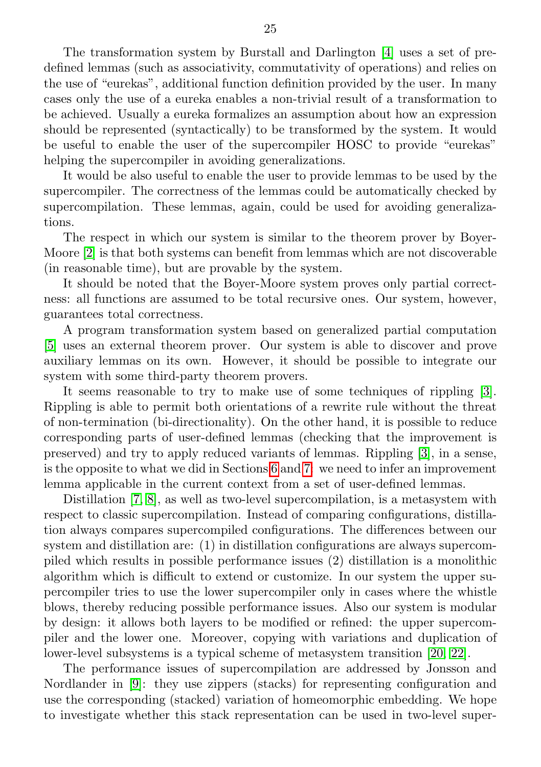The transformation system by Burstall and Darlington [\[4\]](#page-25-3) uses a set of predefined lemmas (such as associativity, commutativity of operations) and relies on the use of "eurekas", additional function definition provided by the user. In many cases only the use of a eureka enables a non-trivial result of a transformation to be achieved. Usually a eureka formalizes an assumption about how an expression should be represented (syntactically) to be transformed by the system. It would be useful to enable the user of the supercompiler HOSC to provide "eurekas" helping the supercompiler in avoiding generalizations.

It would be also useful to enable the user to provide lemmas to be used by the supercompiler. The correctness of the lemmas could be automatically checked by supercompilation. These lemmas, again, could be used for avoiding generalizations.

The respect in which our system is similar to the theorem prover by Boyer-Moore [\[2\]](#page-25-4) is that both systems can benefit from lemmas which are not discoverable (in reasonable time), but are provable by the system.

It should be noted that the Boyer-Moore system proves only partial correctness: all functions are assumed to be total recursive ones. Our system, however, guarantees total correctness.

A program transformation system based on generalized partial computation [\[5\]](#page-25-5) uses an external theorem prover. Our system is able to discover and prove auxiliary lemmas on its own. However, it should be possible to integrate our system with some third-party theorem provers.

It seems reasonable to try to make use of some techniques of rippling [\[3\]](#page-25-6). Rippling is able to permit both orientations of a rewrite rule without the threat of non-termination (bi-directionality). On the other hand, it is possible to reduce corresponding parts of user-defined lemmas (checking that the improvement is preserved) and try to apply reduced variants of lemmas. Rippling [\[3\]](#page-25-6), in a sense, is the opposite to what we did in Sections [6](#page-16-0) and [7:](#page-19-1) we need to infer an improvement lemma applicable in the current context from a set of user-defined lemmas.

Distillation [\[7,](#page-25-7) [8\]](#page-25-8), as well as two-level supercompilation, is a metasystem with respect to classic supercompilation. Instead of comparing configurations, distillation always compares supercompiled configurations. The differences between our system and distillation are: (1) in distillation configurations are always supercompiled which results in possible performance issues (2) distillation is a monolithic algorithm which is difficult to extend or customize. In our system the upper supercompiler tries to use the lower supercompiler only in cases where the whistle blows, thereby reducing possible performance issues. Also our system is modular by design: it allows both layers to be modified or refined: the upper supercompiler and the lower one. Moreover, copying with variations and duplication of lower-level subsystems is a typical scheme of metasystem transition [\[20,](#page-26-9) [22\]](#page-27-0).

The performance issues of supercompilation are addressed by Jonsson and Nordlander in [\[9\]](#page-26-11): they use zippers (stacks) for representing configuration and use the corresponding (stacked) variation of homeomorphic embedding. We hope to investigate whether this stack representation can be used in two-level super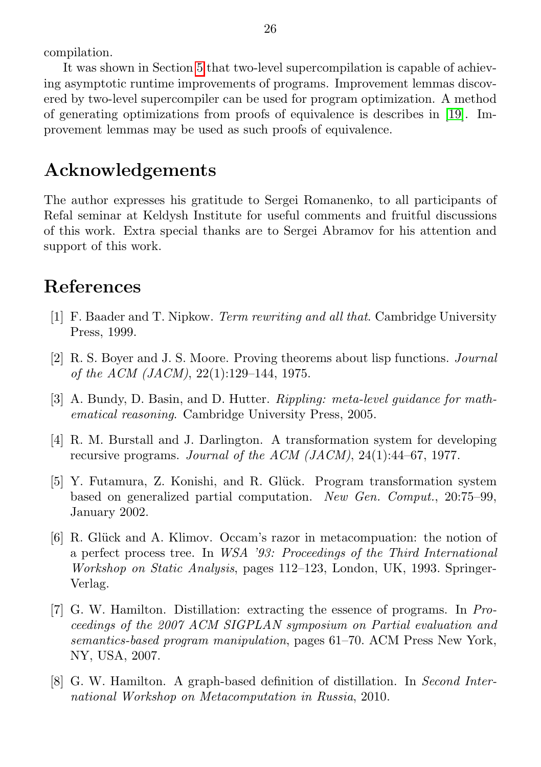compilation.

It was shown in Section [5](#page-13-0) that two-level supercompilation is capable of achieving asymptotic runtime improvements of programs. Improvement lemmas discovered by two-level supercompiler can be used for program optimization. A method of generating optimizations from proofs of equivalence is describes in [\[19\]](#page-26-12). Improvement lemmas may be used as such proofs of equivalence.

### Acknowledgements

The author expresses his gratitude to Sergei Romanenko, to all participants of Refal seminar at Keldysh Institute for useful comments and fruitful discussions of this work. Extra special thanks are to Sergei Abramov for his attention and support of this work.

# <span id="page-25-0"></span>References

- <span id="page-25-1"></span>[1] F. Baader and T. Nipkow. Term rewriting and all that. Cambridge University Press, 1999.
- <span id="page-25-4"></span>[2] R. S. Boyer and J. S. Moore. Proving theorems about lisp functions. Journal of the ACM (JACM), 22(1):129–144, 1975.
- <span id="page-25-6"></span>[3] A. Bundy, D. Basin, and D. Hutter. Rippling: meta-level guidance for mathematical reasoning. Cambridge University Press, 2005.
- <span id="page-25-3"></span>[4] R. M. Burstall and J. Darlington. A transformation system for developing recursive programs. Journal of the ACM (JACM), 24(1):44–67, 1977.
- <span id="page-25-5"></span>[5] Y. Futamura, Z. Konishi, and R. Glück. Program transformation system based on generalized partial computation. New Gen. Comput., 20:75–99, January 2002.
- <span id="page-25-2"></span>[6] R. Glück and A. Klimov. Occam's razor in metacompuation: the notion of a perfect process tree. In WSA '93: Proceedings of the Third International Workshop on Static Analysis, pages 112–123, London, UK, 1993. Springer-Verlag.
- <span id="page-25-7"></span>[7] G. W. Hamilton. Distillation: extracting the essence of programs. In Proceedings of the 2007 ACM SIGPLAN symposium on Partial evaluation and semantics-based program manipulation, pages 61–70. ACM Press New York, NY, USA, 2007.
- <span id="page-25-8"></span>[8] G. W. Hamilton. A graph-based definition of distillation. In Second International Workshop on Metacomputation in Russia, 2010.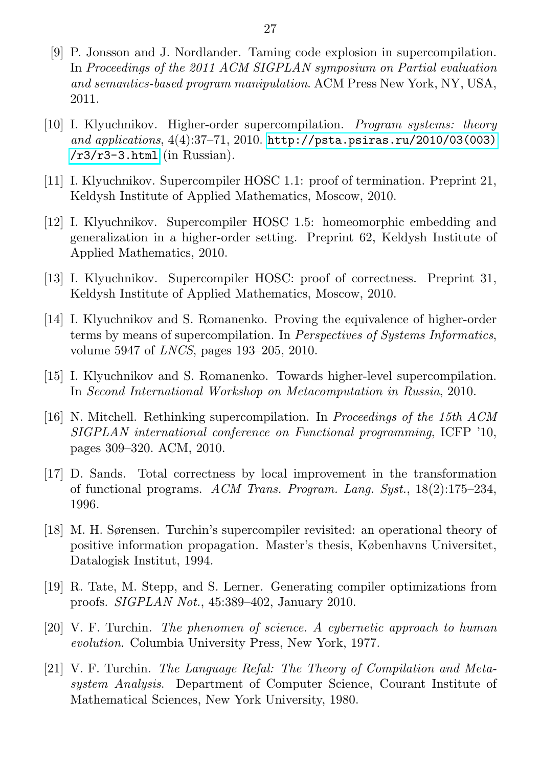- <span id="page-26-11"></span>[9] P. Jonsson and J. Nordlander. Taming code explosion in supercompilation. In Proceedings of the 2011 ACM SIGPLAN symposium on Partial evaluation and semantics-based program manipulation. ACM Press New York, NY, USA, 2011.
- <span id="page-26-1"></span>[10] I. Klyuchnikov. Higher-order supercompilation. Program systems: theory and applications, 4(4):37–71, 2010. [http://psta.psiras.ru/2010/03\(003\)](http://psta.psiras.ru/2010/03(003)/r3/r3-3.html)  $/r3/r3-3.html$  (in Russian).
- <span id="page-26-8"></span>[11] I. Klyuchnikov. Supercompiler HOSC 1.1: proof of termination. Preprint 21, Keldysh Institute of Applied Mathematics, Moscow, 2010.
- <span id="page-26-2"></span>[12] I. Klyuchnikov. Supercompiler HOSC 1.5: homeomorphic embedding and generalization in a higher-order setting. Preprint 62, Keldysh Institute of Applied Mathematics, 2010.
- <span id="page-26-3"></span>[13] I. Klyuchnikov. Supercompiler HOSC: proof of correctness. Preprint 31, Keldysh Institute of Applied Mathematics, Moscow, 2010.
- <span id="page-26-4"></span>[14] I. Klyuchnikov and S. Romanenko. Proving the equivalence of higher-order terms by means of supercompilation. In Perspectives of Systems Informatics, volume 5947 of LNCS, pages 193–205, 2010.
- <span id="page-26-0"></span>[15] I. Klyuchnikov and S. Romanenko. Towards higher-level supercompilation. In Second International Workshop on Metacomputation in Russia, 2010.
- <span id="page-26-6"></span>[16] N. Mitchell. Rethinking supercompilation. In Proceedings of the 15th ACM SIGPLAN international conference on Functional programming, ICFP '10, pages 309–320. ACM, 2010.
- <span id="page-26-5"></span>[17] D. Sands. Total correctness by local improvement in the transformation of functional programs. ACM Trans. Program. Lang. Syst., 18(2):175–234, 1996.
- <span id="page-26-7"></span>[18] M. H. Sørensen. Turchin's supercompiler revisited: an operational theory of positive information propagation. Master's thesis, Københavns Universitet, Datalogisk Institut, 1994.
- <span id="page-26-12"></span>[19] R. Tate, M. Stepp, and S. Lerner. Generating compiler optimizations from proofs. SIGPLAN Not., 45:389–402, January 2010.
- <span id="page-26-9"></span>[20] V. F. Turchin. The phenomen of science. A cybernetic approach to human evolution. Columbia University Press, New York, 1977.
- <span id="page-26-10"></span>[21] V. F. Turchin. The Language Refal: The Theory of Compilation and Metasystem Analysis. Department of Computer Science, Courant Institute of Mathematical Sciences, New York University, 1980.